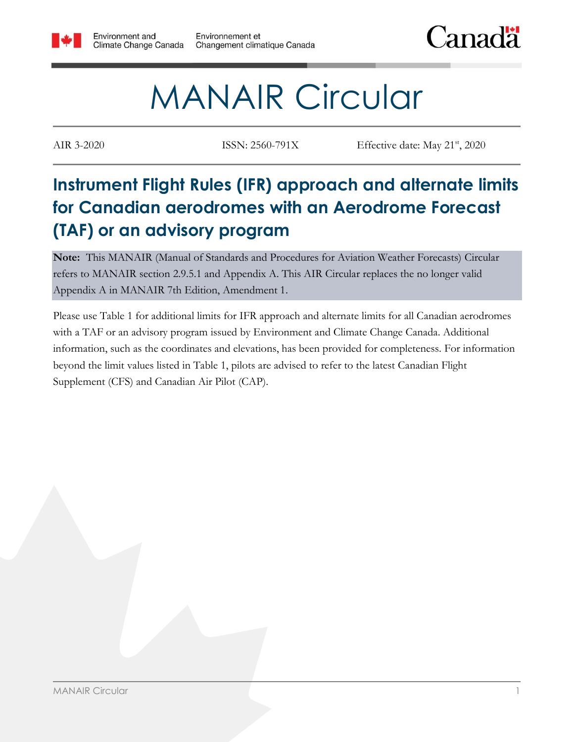



## MANAIR Circular

AIR 3-2020 ISSN: 2560-791X Effective date: May 21<sup>st</sup>, 2020

## **Instrument Flight Rules (IFR) approach and alternate limits for Canadian aerodromes with an Aerodrome Forecast (TAF) or an advisory program**

**Note:** This MANAIR (Manual of Standards and Procedures for Aviation Weather Forecasts) Circular refers to MANAIR section 2.9.5.1 and Appendix A. This AIR Circular replaces the no longer valid Appendix A in MANAIR 7th Edition, Amendment 1.

Please use [Table 1](#page-1-0) for additional limits for IFR approach and alternate limits for all Canadian aerodromes with a TAF or an advisory program issued by Environment and Climate Change Canada. Additional information, such as the coordinates and elevations, has been provided for completeness. For information beyond the limit values listed in Table 1, pilots are advised to refer to the latest Canadian Flight Supplement (CFS) and Canadian Air Pilot (CAP).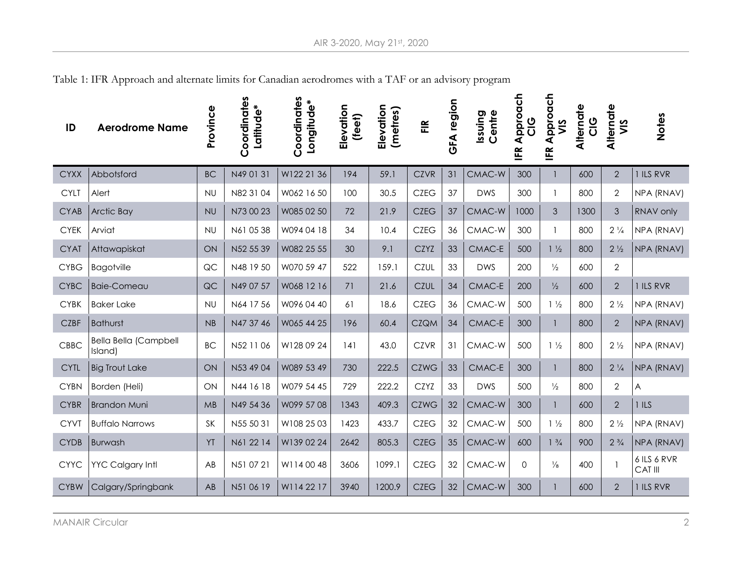Table 1: IFR Approach and alternate limits for Canadian aerodromes with a TAF or an advisory program

<span id="page-1-0"></span>

| ID          | <b>Aerodrome Name</b>                   | Province  | Coordinates<br>Latitude* | Coordinates<br>Longitude* | Elevation<br>(feet) | Elevation<br>(metres) | $\tilde{\mathbb{E}}$ | GFA region | Centre<br>Issuing | Approach<br>$rac{0}{0}$<br>IFR | Approach<br>VIS<br>l⊧<br>EK | <b>Alternate</b><br><u>ပ</u> | Alternate<br>VIS | <b>Notes</b>           |
|-------------|-----------------------------------------|-----------|--------------------------|---------------------------|---------------------|-----------------------|----------------------|------------|-------------------|--------------------------------|-----------------------------|------------------------------|------------------|------------------------|
| <b>CYXX</b> | Abbotsford                              | <b>BC</b> | N49 01 31                | W122 21 36                | 194                 | 59.1                  | <b>CZVR</b>          | 31         | CMAC-W            | 300                            | 1                           | 600                          | $\overline{2}$   | <b>I ILS RVR</b>       |
| <b>CYLT</b> | Alert                                   | <b>NU</b> | N82 31 04                | W062 16 50                | 100                 | 30.5                  | <b>CZEG</b>          | 37         | <b>DWS</b>        | 300                            |                             | 800                          | $\overline{2}$   | NPA (RNAV)             |
| <b>CYAB</b> | Arctic Bay                              | <b>NU</b> | N73 00 23                | W085 02 50                | 72                  | 21.9                  | <b>CZEG</b>          | 37         | CMAC-W            | 1000                           | 3                           | 1300                         | 3                | RNAV only              |
| <b>CYEK</b> | Arviat                                  | <b>NU</b> | N61 05 38                | W094 04 18                | 34                  | 10.4                  | <b>CZEG</b>          | 36         | CMAC-W            | 300                            |                             | 800                          | $2\frac{1}{4}$   | NPA (RNAV)             |
| <b>CYAT</b> | Attawapiskat                            | ON        | N52 55 39                | W082 25 55                | 30                  | 9.1                   | <b>CZYZ</b>          | 33         | CMAC-E            | 500                            | $1\frac{1}{2}$              | 800                          | $2\frac{1}{2}$   | NPA (RNAV)             |
| <b>CYBG</b> | <b>Bagotville</b>                       | QC        | N48 19 50                | W070 59 47                | 522                 | 159.1                 | <b>CZUL</b>          | 33         | <b>DWS</b>        | 200                            | $\frac{1}{2}$               | 600                          | $\overline{2}$   |                        |
| <b>CYBC</b> | <b>Baie-Comeau</b>                      | QC        | N49 07 57                | W068 12 16                | 71                  | 21.6                  | <b>CZUL</b>          | 34         | CMAC-E            | 200                            | $\frac{1}{2}$               | 600                          | $\overline{2}$   | 1 ILS RVR              |
| <b>CYBK</b> | <b>Baker Lake</b>                       | <b>NU</b> | N64 17 56                | W096 04 40                | 61                  | 18.6                  | <b>CZEG</b>          | 36         | CMAC-W            | 500                            | $1\frac{1}{2}$              | 800                          | $2\frac{1}{2}$   | NPA (RNAV)             |
| <b>CZBF</b> | <b>Bathurst</b>                         | NB        | N47 37 46                | W065 44 25                | 196                 | 60.4                  | <b>CZQM</b>          | 34         | CMAC-E            | 300                            |                             | 800                          | $\overline{2}$   | NPA (RNAV)             |
| CBBC        | <b>Bella Bella (Campbell</b><br>Island) | <b>BC</b> | N52 1106                 | W128 09 24                | 4                   | 43.0                  | <b>CZVR</b>          | 31         | CMAC-W            | 500                            | $1\frac{1}{2}$              | 800                          | $2\frac{1}{2}$   | NPA (RNAV)             |
| <b>CYTL</b> | <b>Big Trout Lake</b>                   | ON        | N53 49 04                | W089 53 49                | 730                 | 222.5                 | <b>CZWG</b>          | 33         | CMAC-E            | 300                            | $\mathbf{1}$                | 800                          | $2\frac{1}{4}$   | NPA (RNAV)             |
| <b>CYBN</b> | Borden (Heli)                           | ON        | N44 16 18                | W079 54 45                | 729                 | 222.2                 | <b>CZYZ</b>          | 33         | <b>DWS</b>        | 500                            | $\frac{1}{2}$               | 800                          | $\overline{2}$   | A                      |
| <b>CYBR</b> | <b>Brandon Muni</b>                     | MB        | N49 54 36                | W099 57 08                | 1343                | 409.3                 | <b>CZWG</b>          | 32         | CMAC-W            | 300                            |                             | 600                          | $\overline{2}$   | 1ILS                   |
| <b>CYVT</b> | <b>Buffalo Narrows</b>                  | <b>SK</b> | N55 50 31                | W108 25 03                | 1423                | 433.7                 | <b>CZEG</b>          | 32         | CMAC-W            | 500                            | $1\frac{1}{2}$              | 800                          | $2\frac{1}{2}$   | NPA (RNAV)             |
| <b>CYDB</b> | Burwash                                 | YT        | N61 22 14                | W139 02 24                | 2642                | 805.3                 | <b>CZEG</b>          | 35         | CMAC-W            | 600                            | $1 \frac{3}{4}$             | 900                          | $2\frac{3}{4}$   | NPA (RNAV)             |
| <b>CYYC</b> | <b>YYC Calgary Intl</b>                 | AB        | N51 07 21                | W114 00 48                | 3606                | 1099.1                | <b>CZEG</b>          | 32         | CMAC-W            | $\Omega$                       | $\frac{1}{8}$               | 400                          | $\mathbf{1}$     | 6 ILS 6 RVR<br>CAT III |
| <b>CYBW</b> | Calgary/Springbank                      | AB        | N51 06 19                | W114 22 17                | 3940                | 1200.9                | <b>CZEG</b>          | 32         | CMAC-W            | 300                            |                             | 600                          | $\overline{2}$   | 1 ILS RVR              |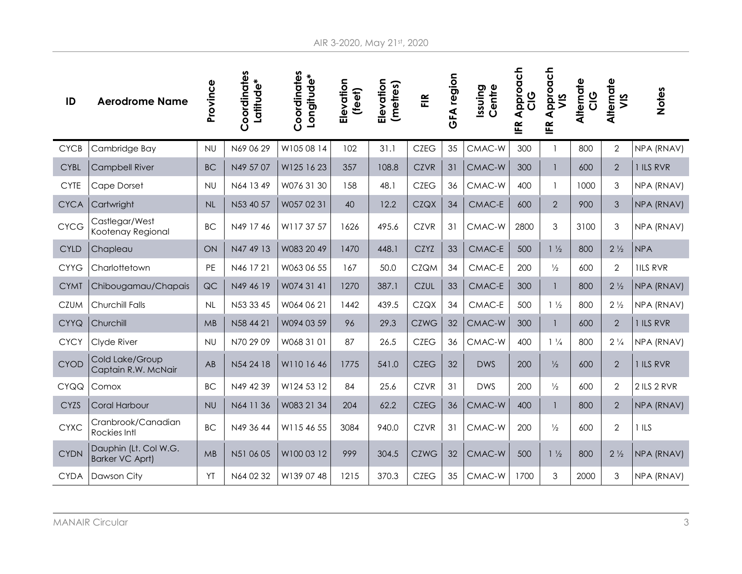| ID          | <b>Aerodrome Name</b>                           | Province  | Coordinates<br>Latitude* | Coordinates<br>Longitude* | Elevation<br>(feet) | Elevation<br>(metres) | E           | GFA region | Centre<br>Issuing | Approach<br><b>UD</b><br>E | <b>IFR Approach</b><br>SIV | Alternate<br>$\frac{6}{5}$ | <b>Alternate</b><br>VIS | <b>Notes</b>    |
|-------------|-------------------------------------------------|-----------|--------------------------|---------------------------|---------------------|-----------------------|-------------|------------|-------------------|----------------------------|----------------------------|----------------------------|-------------------------|-----------------|
| <b>CYCB</b> | Cambridge Bay                                   | <b>NU</b> | N69 06 29                | W1050814                  | 102                 | 31.1                  | <b>CZEG</b> | 35         | CMAC-W            | 300                        |                            | 800                        | $\overline{2}$          | NPA (RNAV)      |
| <b>CYBL</b> | <b>Campbell River</b>                           | <b>BC</b> | N49 57 07                | W125 16 23                | 357                 | 108.8                 | <b>CZVR</b> | 31         | CMAC-W            | 300                        | 1                          | 600                        | 2                       | 1 ILS RVR       |
| <b>CYTE</b> | Cape Dorset                                     | <b>NU</b> | N64 13 49                | W076 31 30                | 158                 | 48.1                  | <b>CZEG</b> | 36         | CMAC-W            | 400                        |                            | 1000                       | 3                       | NPA (RNAV)      |
| <b>CYCA</b> | Cartwright                                      | NL        | N53 40 57                | W057 02 31                | 40                  | 12.2                  | <b>CZQX</b> | 34         | CMAC-E            | 600                        | 2                          | 900                        | $\mathfrak{S}$          | NPA (RNAV)      |
| <b>CYCG</b> | Castlegar/West<br>Kootenay Regional             | <b>BC</b> | N49 17 46                | W117 37 57                | 1626                | 495.6                 | <b>CZVR</b> | 31         | CMAC-W            | 2800                       | 3                          | 3100                       | 3                       | NPA (RNAV)      |
| <b>CYLD</b> | Chapleau                                        | ON        | N47 49 13                | W083 20 49                | 1470                | 448.1                 | <b>CZYZ</b> | 33         | CMAC-E            | 500                        | $1\frac{1}{2}$             | 800                        | $2\frac{1}{2}$          | <b>NPA</b>      |
| <b>CYYG</b> | Charlottetown                                   | PE        | N46 17 21                | W063 06 55                | 167                 | 50.0                  | <b>CZQM</b> | 34         | CMAC-E            | 200                        | $\frac{1}{2}$              | 600                        | $\overline{2}$          | <b>IILS RVR</b> |
| <b>CYMT</b> | Chibougamau/Chapais                             | QC        | N49 46 19                | W074 31 41                | 1270                | 387.1                 | <b>CZUL</b> | 33         | CMAC-E            | 300                        |                            | 800                        | $2\frac{1}{2}$          | NPA (RNAV)      |
| <b>CZUM</b> | Churchill Falls                                 | NL        | N53 33 45                | W064 06 21                | 1442                | 439.5                 | <b>CZQX</b> | 34         | $CMAC-E$          | 500                        | $1\frac{1}{2}$             | 800                        | $2\frac{1}{2}$          | NPA (RNAV)      |
| <b>CYYQ</b> | Churchill                                       | MB        | N58 44 21                | W094 03 59                | 96                  | 29.3                  | <b>CZWG</b> | 32         | CMAC-W            | 300                        |                            | 600                        | $\overline{2}$          | 1 ILS RVR       |
| <b>CYCY</b> | Clyde River                                     | <b>NU</b> | N70 29 09                | W068 31 01                | 87                  | 26.5                  | <b>CZEG</b> | 36         | CMAC-W            | 400                        | $1\frac{1}{4}$             | 800                        | $2\frac{1}{4}$          | NPA (RNAV)      |
| <b>CYOD</b> | Cold Lake/Group<br>Captain R.W. McNair          | AB        | N54 24 18                | W1101646                  | 1775                | 541.0                 | <b>CZEG</b> | 32         | <b>DWS</b>        | 200                        | $\frac{1}{2}$              | 600                        | $\overline{2}$          | 1 ILS RVR       |
| <b>CYQQ</b> | Comox                                           | <b>BC</b> | N49 42 39                | W124 53 12                | 84                  | 25.6                  | <b>CZVR</b> | 31         | <b>DWS</b>        | 200                        | $\frac{1}{2}$              | 600                        | $\overline{2}$          | 2 ILS 2 RVR     |
| <b>CYZS</b> | <b>Coral Harbour</b>                            | <b>NU</b> | N64 11 36                | W083 21 34                | 204                 | 62.2                  | <b>CZEG</b> | 36         | CMAC-W            | 400                        |                            | 800                        | $\overline{2}$          | NPA (RNAV)      |
| <b>CYXC</b> | Cranbrook/Canadian<br>Rockies Intl              | <b>BC</b> | N49 36 44                | W115 46 55                | 3084                | 940.0                 | <b>CZVR</b> | 31         | CMAC-W            | 200                        | $\frac{1}{2}$              | 600                        | $\overline{2}$          | 1ILS            |
| <b>CYDN</b> | Dauphin (Lt. Col W.G.<br><b>Barker VC Aprt)</b> | MB        | N51 06 05                | W100 03 12                | 999                 | 304.5                 | <b>CZWG</b> | 32         | CMAC-W            | 500                        | $1\frac{1}{2}$             | 800                        | $2\frac{1}{2}$          | NPA (RNAV)      |
| <b>CYDA</b> | Dawson City                                     | YT        | N64 02 32                | W139 07 48                | 1215                | 370.3                 | <b>CZEG</b> | 35         | CMAC-W            | 1700                       | 3                          | 2000                       | 3                       | NPA (RNAV)      |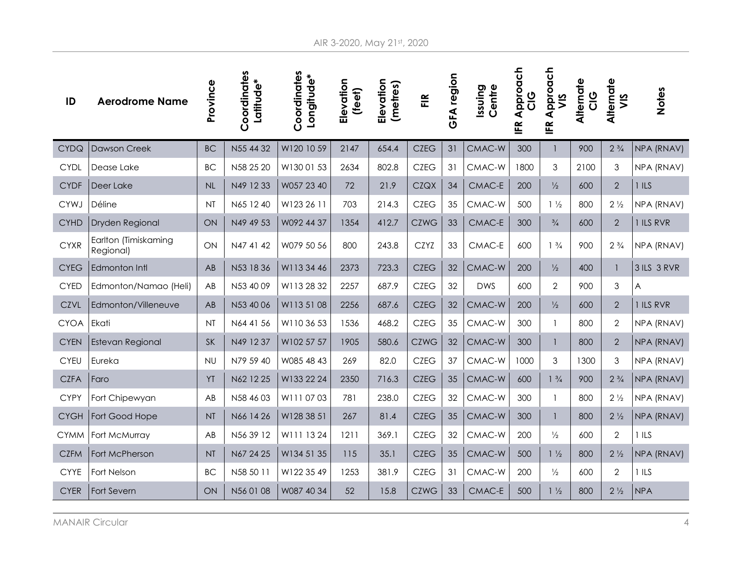| ID          | <b>Aerodrome Name</b>             | Province  | Coordinates<br>Latitude* | Coordinates<br>Longitude* | Elevation<br>(feet) | Elevation<br>(metres) | $\widetilde{E}$ | GFA region | Centre<br>Issuing | Approach<br>$rac{c}{C}$<br>匠<br>上 | Approach<br>VIS<br>l⊬<br>EK | <b>Alternate</b><br>$rac{0}{0}$ | <b>Alternate</b><br>VIS | <b>Notes</b> |
|-------------|-----------------------------------|-----------|--------------------------|---------------------------|---------------------|-----------------------|-----------------|------------|-------------------|-----------------------------------|-----------------------------|---------------------------------|-------------------------|--------------|
| <b>CYDQ</b> | <b>Dawson Creek</b>               | <b>BC</b> | N55 44 32                | W120 10 59                | 2147                | 654.4                 | <b>CZEG</b>     | 31         | CMAC-W            | 300                               |                             | 900                             | $2\frac{3}{4}$          | NPA (RNAV)   |
| <b>CYDL</b> | Dease Lake                        | <b>BC</b> | N58 25 20                | W130 01 53                | 2634                | 802.8                 | <b>CZEG</b>     | 31         | CMAC-W            | 1800                              | 3                           | 2100                            | 3                       | NPA (RNAV)   |
| <b>CYDF</b> | Deer Lake                         | NL        | N49 12 33                | W057 23 40                | 72                  | 21.9                  | <b>CZQX</b>     | 34         | CMAC-E            | 200                               | $\frac{1}{2}$               | 600                             | $\overline{2}$          | $1$ ILS      |
| <b>CYWJ</b> | Déline                            | <b>NT</b> | N65 12 40                | W123 26 11                | 703                 | 214.3                 | <b>CZEG</b>     | 35         | CMAC-W            | 500                               | $1\frac{1}{2}$              | 800                             | $2\frac{1}{2}$          | NPA (RNAV)   |
| <b>CYHD</b> | Dryden Regional                   | ON        | N49 49 53                | W092 44 37                | 1354                | 412.7                 | <b>CZWG</b>     | 33         | CMAC-E            | 300                               | $\frac{3}{4}$               | 600                             | $\overline{2}$          | 1 ILS RVR    |
| <b>CYXR</b> | Earlton (Timiskaming<br>Regional) | ON        | N47 41 42                | W079 50 56                | 800                 | 243.8                 | <b>CZYZ</b>     | 33         | CMAC-E            | 600                               | $1 \frac{3}{4}$             | 900                             | $2\frac{3}{4}$          | NPA (RNAV)   |
| <b>CYEG</b> | Edmonton Intl                     | AB        | N53 1836                 | W1133446                  | 2373                | 723.3                 | <b>CZEG</b>     | 32         | CMAC-W            | 200                               | $\frac{1}{2}$               | 400                             | $\mathbf{1}$            | 3 ILS 3 RVR  |
| <b>CYED</b> | Edmonton/Namao (Heli)             | AB        | N53 40 09                | W113 28 32                | 2257                | 687.9                 | <b>CZEG</b>     | 32         | <b>DWS</b>        | 600                               | 2                           | 900                             | 3                       | A            |
| <b>CZVL</b> | Edmonton/Villeneuve               | AB        | N53 40 06                | W113 51 08                | 2256                | 687.6                 | <b>CZEG</b>     | 32         | CMAC-W            | 200                               | $\frac{1}{2}$               | 600                             | $\overline{2}$          | 1 ILS RVR    |
| <b>CYOA</b> | Ekati                             | <b>NT</b> | N64 41 56                | W110 36 53                | 1536                | 468.2                 | <b>CZEG</b>     | 35         | CMAC-W            | 300                               | 1                           | 800                             | $\overline{2}$          | NPA (RNAV)   |
| <b>CYEN</b> | Estevan Regional                  | SK        | N49 1237                 | W102 57 57                | 1905                | 580.6                 | <b>CZWG</b>     | 32         | CMAC-W            | 300                               | 1                           | 800                             | $\overline{2}$          | NPA (RNAV)   |
| <b>CYEU</b> | Eureka                            | <b>NU</b> | N79 59 40                | W085 48 43                | 269                 | 82.0                  | <b>CZEG</b>     | 37         | CMAC-W            | 1000                              | 3                           | 1300                            | 3                       | NPA (RNAV)   |
| <b>CZFA</b> | Faro                              | YT        | N62 12 25                | W133 22 24                | 2350                | 716.3                 | <b>CZEG</b>     | 35         | CMAC-W            | 600                               | $1 \frac{3}{4}$             | 900                             | $2\frac{3}{4}$          | NPA (RNAV)   |
| <b>CYPY</b> | Fort Chipewyan                    | AB        | N58 46 03                | W1110703                  | 781                 | 238.0                 | <b>CZEG</b>     | 32         | CMAC-W            | 300                               | 1                           | 800                             | $2\frac{1}{2}$          | NPA (RNAV)   |
| <b>CYGH</b> | Fort Good Hope                    | NT.       | N66 14 26                | W128 38 51                | 267                 | 81.4                  | <b>CZEG</b>     | 35         | CMAC-W            | 300                               | 1                           | 800                             | $2\frac{1}{2}$          | NPA (RNAV)   |
| <b>CYMM</b> | Fort McMurray                     | AB        | N56 39 12                | W111 13 24                | 1211                | 369.1                 | <b>CZEG</b>     | 32         | CMAC-W            | 200                               | $\frac{1}{2}$               | 600                             | $\overline{2}$          | 1ILS         |
| <b>CZFM</b> | Fort McPherson                    | NT.       | N67 24 25                | W134 51 35                | 115                 | 35.1                  | <b>CZEG</b>     | 35         | CMAC-W            | 500                               | $1\frac{1}{2}$              | 800                             | $2\frac{1}{2}$          | NPA (RNAV)   |
| <b>CYYE</b> | Fort Nelson                       | <b>BC</b> | N58 50 11                | W122 35 49                | 1253                | 381.9                 | <b>CZEG</b>     | 31         | CMAC-W            | 200                               | $\frac{1}{2}$               | 600                             | $\mathbf{2}$            | 1ILS         |
| <b>CYER</b> | Fort Severn                       | ON        | N56 01 08                | W087 40 34                | 52                  | 15.8                  | <b>CZWG</b>     | 33         | CMAC-E            | 500                               | $1\frac{1}{2}$              | 800                             | $2\frac{1}{2}$          | <b>NPA</b>   |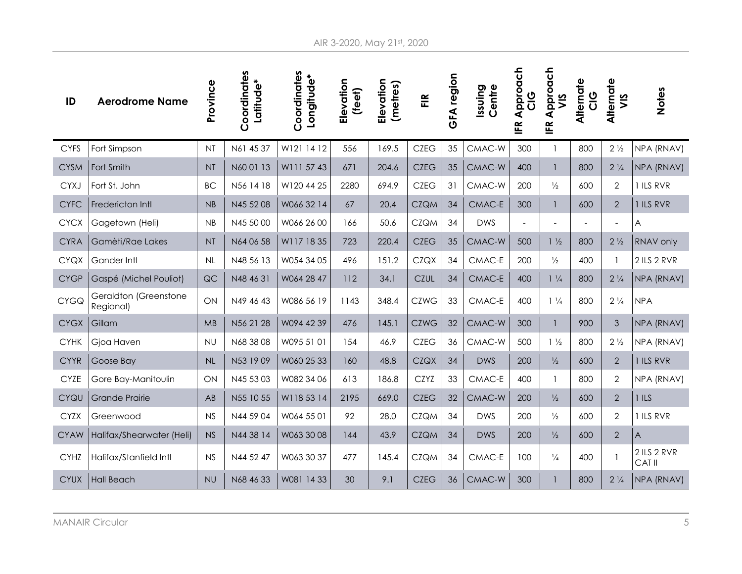| ID          | <b>Aerodrome Name</b>              | Province  | Coordinates<br>Latitude* | Coordinates<br>Longitude* | Elevation<br>(feet) | Elevation<br>(metres) | E           | GFA region | Centre<br>Issuing | <b>IFR Approach</b><br><b>UD</b> | <b>IFR Approach</b><br>VIS | <b>Alternate</b><br>$rac{c}{C}$ | <b>Alternate</b><br>SIN | <b>Notes</b>          |
|-------------|------------------------------------|-----------|--------------------------|---------------------------|---------------------|-----------------------|-------------|------------|-------------------|----------------------------------|----------------------------|---------------------------------|-------------------------|-----------------------|
| <b>CYFS</b> | Fort Simpson                       | <b>NT</b> | N61 45 37                | W121 14 12                | 556                 | 169.5                 | <b>CZEG</b> | 35         | CMAC-W            | 300                              |                            | 800                             | $2\frac{1}{2}$          | NPA (RNAV)            |
| <b>CYSM</b> | Fort Smith                         | <b>NT</b> | N60 01 13                | W111 57 43                | 671                 | 204.6                 | <b>CZEG</b> | 35         | CMAC-W            | 400                              |                            | 800                             | $2\frac{1}{4}$          | NPA (RNAV)            |
| <b>CYXJ</b> | Fort St. John                      | <b>BC</b> | N56 14 18                | W120 44 25                | 2280                | 694.9                 | <b>CZEG</b> | 31         | CMAC-W            | 200                              | $\frac{1}{2}$              | 600                             | $\mathbf{2}$            | 1 ILS RVR             |
| <b>CYFC</b> | Fredericton Intl                   | NB        | N45 52 08                | W066 32 14                | 67                  | 20.4                  | <b>CZQM</b> | 34         | CMAC-E            | 300                              |                            | 600                             | $\overline{2}$          | 1 ILS RVR             |
| <b>CYCX</b> | Gagetown (Heli)                    | NB        | N45 50 00                | W066 26 00                | 166                 | 50.6                  | <b>CZQM</b> | 34         | <b>DWS</b>        | $\overline{a}$                   | $\overline{a}$             | $\bar{a}$                       | $\overline{a}$          | A                     |
| <b>CYRA</b> | Gamèti/Rae Lakes                   | <b>NT</b> | N64 06 58                | W117 1835                 | 723                 | 220.4                 | <b>CZEG</b> | 35         | CMAC-W            | 500                              | $1\frac{1}{2}$             | 800                             | $2\frac{1}{2}$          | RNAV only             |
| <b>CYQX</b> | Gander Intl                        | NL        | N48 56 13                | W054 34 05                | 496                 | 151.2                 | <b>CZQX</b> | 34         | CMAC-E            | 200                              | $\frac{1}{2}$              | 400                             | $\mathbf{1}$            | 2 ILS 2 RVR           |
| <b>CYGP</b> | Gaspé (Michel Pouliot)             | QC        | N48 46 31                | W064 28 47                | 112                 | 34.1                  | <b>CZUL</b> | 34         | CMAC-E            | 400                              | $1\frac{1}{4}$             | 800                             | $2\frac{1}{4}$          | NPA (RNAV)            |
| <b>CYGQ</b> | Geraldton (Greenstone<br>Regional) | ON        | N49 46 43                | W086 56 19                | 1143                | 348.4                 | <b>CZWG</b> | 33         | CMAC-E            | 400                              | $1\frac{1}{4}$             | 800                             | $2\frac{1}{4}$          | <b>NPA</b>            |
| <b>CYGX</b> | Gillam                             | MB        | N56 21 28                | W094 42 39                | 476                 | 145.1                 | <b>CZWG</b> | 32         | CMAC-W            | 300                              |                            | 900                             | $\mathfrak{Z}$          | NPA (RNAV)            |
| <b>CYHK</b> | Gjoa Haven                         | <b>NU</b> | N68 38 08                | W095 51 01                | 154                 | 46.9                  | <b>CZEG</b> | 36         | CMAC-W            | 500                              | $1\frac{1}{2}$             | 800                             | $2\frac{1}{2}$          | NPA (RNAV)            |
| <b>CYYR</b> | Goose Bay                          | NL        | N53 19 09                | W060 25 33                | 160                 | 48.8                  | <b>CZQX</b> | 34         | <b>DWS</b>        | 200                              | $\frac{1}{2}$              | 600                             | $\overline{2}$          | 1 ILS RVR             |
| <b>CYZE</b> | Gore Bay-Manitoulin                | ON        | N45 53 03                | W082 34 06                | 613                 | 186.8                 | <b>CZYZ</b> | 33         | CMAC-E            | 400                              |                            | 800                             | $\mathbf{2}$            | NPA (RNAV)            |
| CYQU        | <b>Grande Prairie</b>              | AB        | N55 10 55                | W118 53 14                | 2195                | 669.0                 | <b>CZEG</b> | 32         | CMAC-W            | 200                              | $\frac{1}{2}$              | 600                             | $\overline{2}$          | 1ILS                  |
| <b>CYZX</b> | Greenwood                          | <b>NS</b> | N44 59 04                | W064 55 01                | 92                  | 28.0                  | <b>CZQM</b> | 34         | <b>DWS</b>        | 200                              | $\frac{1}{2}$              | 600                             | $\overline{2}$          | 1 ILS RVR             |
| <b>CYAW</b> | Halifax/Shearwater (Heli)          | <b>NS</b> | N44 38 14                | W063 30 08                | 144                 | 43.9                  | <b>CZQM</b> | 34         | <b>DWS</b>        | 200                              | $\frac{1}{2}$              | 600                             | $\overline{2}$          | $\overline{A}$        |
| <b>CYHZ</b> | Halifax/Stanfield Intl             | <b>NS</b> | N44 52 47                | W063 30 37                | 477                 | 145.4                 | <b>CZQM</b> | 34         | CMAC-E            | 100                              | $\frac{1}{4}$              | 400                             | $\mathbf{1}$            | 2 ILS 2 RVR<br>CAT II |
| <b>CYUX</b> | <b>Hall Beach</b>                  | <b>NU</b> | N68 46 33                | W081 14 33                | 30                  | 9.1                   | <b>CZEG</b> | 36         | CMAC-W            | 300                              |                            | 800                             | $2\frac{1}{4}$          | NPA (RNAV)            |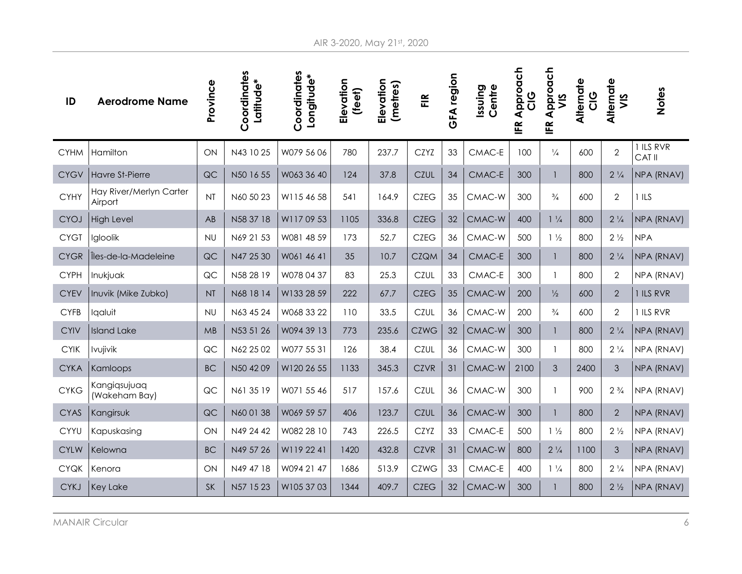| ID          | <b>Aerodrome Name</b>              | Province  | Coordinates<br>Latitude* | Coordinates<br>Longitude* | Elevation<br>(feet) | Elevation<br>(metres) | E           | GFA region | lssuing<br>Centre | Approach<br>$rac{c}{C}$<br>庄<br>上 | <b>IFR Approach</b><br>VIS | <b>Alternate</b><br>$rac{c}{C}$ | Alternate<br>VIS | <b>Notes</b>        |
|-------------|------------------------------------|-----------|--------------------------|---------------------------|---------------------|-----------------------|-------------|------------|-------------------|-----------------------------------|----------------------------|---------------------------------|------------------|---------------------|
| <b>CYHM</b> | Hamilton                           | ON        | N43 10 25                | W079 56 06                | 780                 | 237.7                 | <b>CZYZ</b> | 33         | CMAC-E            | 100                               | $\frac{1}{4}$              | 600                             | $\overline{2}$   | 1 ILS RVR<br>CAT II |
| <b>CYGV</b> | <b>Havre St-Pierre</b>             | QC        | N50 16 55                | W063 36 40                | 124                 | 37.8                  | <b>CZUL</b> | 34         | CMAC-E            | 300                               | $\mathbf{1}$               | 800                             | $2\frac{1}{4}$   | NPA (RNAV)          |
| <b>CYHY</b> | Hay River/Merlyn Carter<br>Airport | <b>NT</b> | N60 50 23                | W115 46 58                | 541                 | 164.9                 | <b>CZEG</b> | 35         | CMAC-W            | 300                               | $\frac{3}{4}$              | 600                             | $\overline{2}$   | 1ILS                |
| CYOJ        | <b>High Level</b>                  | AB        | N58 37 18                | W1170953                  | 1105                | 336.8                 | <b>CZEG</b> | 32         | CMAC-W            | 400                               | $1\frac{1}{4}$             | 800                             | $2\frac{1}{4}$   | NPA (RNAV)          |
| <b>CYGT</b> | Igloolik                           | <b>NU</b> | N69 21 53                | W081 48 59                | 173                 | 52.7                  | <b>CZEG</b> | 36         | CMAC-W            | 500                               | $1\frac{1}{2}$             | 800                             | $2\frac{1}{2}$   | <b>NPA</b>          |
| <b>CYGR</b> | Îles-de-la-Madeleine               | QC        | N47 25 30                | W061 46 41                | 35                  | 10.7                  | <b>CZQM</b> | 34         | CMAC-E            | 300                               |                            | 800                             | $2\frac{1}{4}$   | NPA (RNAV)          |
| <b>CYPH</b> | Inukjuak                           | QC        | N58 28 19                | W078 04 37                | 83                  | 25.3                  | <b>CZUL</b> | 33         | CMAC-E            | 300                               | 1                          | 800                             | $\overline{2}$   | NPA (RNAV)          |
| <b>CYEV</b> | Inuvik (Mike Zubko)                | NT        | N68 18 14                | W133 28 59                | 222                 | 67.7                  | <b>CZEG</b> | 35         | CMAC-W            | 200                               | $\frac{1}{2}$              | 600                             | $\mathbf{2}$     | 1 ILS RVR           |
| <b>CYFB</b> | lgaluit                            | <b>NU</b> | N63 45 24                | W068 33 22                | 110                 | 33.5                  | <b>CZUL</b> | 36         | CMAC-W            | 200                               | $\frac{3}{4}$              | 600                             | $\overline{2}$   | 1 ILS RVR           |
| <b>CYIV</b> | <b>Island Lake</b>                 | MB        | N53 51 26                | W094 39 13                | 773                 | 235.6                 | <b>CZWG</b> | 32         | CMAC-W            | 300                               | 1                          | 800                             | $2\frac{1}{4}$   | NPA (RNAV)          |
| <b>CYIK</b> | Ivujivik                           | QC        | N62 25 02                | W077 55 31                | 126                 | 38.4                  | <b>CZUL</b> | 36         | CMAC-W            | 300                               | $\mathbf{1}$               | 800                             | $2\frac{1}{4}$   | NPA (RNAV)          |
| <b>CYKA</b> | Kamloops                           | <b>BC</b> | N50 42 09                | W120 26 55                | 1133                | 345.3                 | <b>CZVR</b> | 31         | CMAC-W            | 2100                              | 3                          | 2400                            | $\mathfrak{Z}$   | NPA (RNAV)          |
| <b>CYKG</b> | Kangiqsujuaq<br>(Wakeham Bay)      | QC        | N61 35 19                | W071 55 46                | 517                 | 157.6                 | <b>CZUL</b> | 36         | CMAC-W            | 300                               | $\mathbf{1}$               | 900                             | $2\frac{3}{4}$   | NPA (RNAV)          |
| <b>CYAS</b> | Kangirsuk                          | QC        | N60 01 38                | W069 59 57                | 406                 | 123.7                 | <b>CZUL</b> | 36         | CMAC-W            | 300                               |                            | 800                             | $\sqrt{2}$       | NPA (RNAV)          |
| CYYU        | Kapuskasing                        | ON        | N49 24 42                | W082 28 10                | 743                 | 226.5                 | <b>CZYZ</b> | 33         | CMAC-E            | 500                               | $1\frac{1}{2}$             | 800                             | $2\frac{1}{2}$   | NPA (RNAV)          |
| <b>CYLW</b> | Kelowna                            | <b>BC</b> | N49 57 26                | W119 22 41                | 1420                | 432.8                 | <b>CZVR</b> | 31         | CMAC-W            | 800                               | $2\frac{1}{4}$             | 1100                            | $\mathfrak{Z}$   | NPA (RNAV)          |
| <b>CYQK</b> | Kenora                             | ON        | N49 47 18                | W094 21 47                | 1686                | 513.9                 | <b>CZWG</b> | 33         | CMAC-E            | 400                               | $1\frac{1}{4}$             | 800                             | $2\frac{1}{4}$   | NPA (RNAV)          |
| <b>CYKJ</b> | <b>Key Lake</b>                    | <b>SK</b> | N57 15 23                | W105 37 03                | 1344                | 409.7                 | <b>CZEG</b> | 32         | CMAC-W            | 300                               |                            | 800                             | $2\frac{1}{2}$   | NPA (RNAV)          |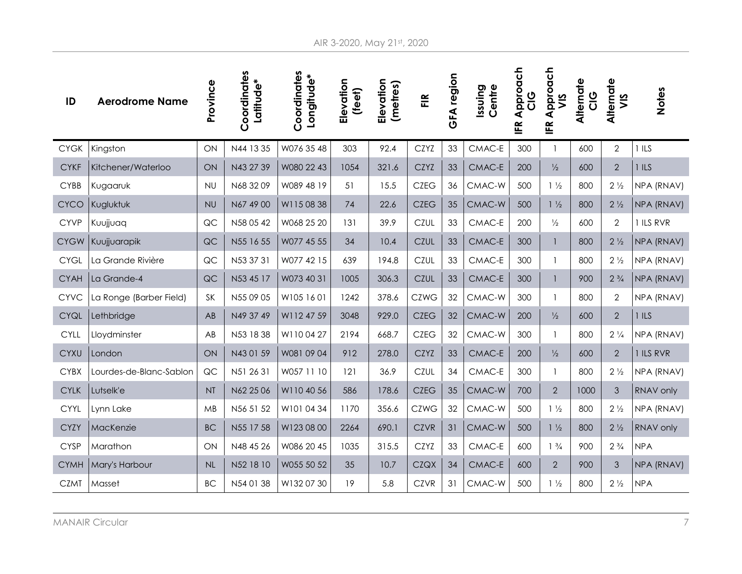| ID          | <b>Aerodrome Name</b>   | Province  | Coordinates<br>Latitude* | Coordinates<br>Longitude* | Elevation<br>(feet) | Elevation<br>(metres) | $\widetilde{\mathsf{F}}$ | GFA region | Centre<br>Issuing | <b>IFR Approach</b><br><b>UD</b> | <b>IFR Approach</b><br>VIS | <b>Alternate</b><br>$rac{c}{C}$ | Alternate<br>VIS | <b>Notes</b> |
|-------------|-------------------------|-----------|--------------------------|---------------------------|---------------------|-----------------------|--------------------------|------------|-------------------|----------------------------------|----------------------------|---------------------------------|------------------|--------------|
| <b>CYGK</b> | Kingston                | ON        | N44 1335                 | W076 35 48                | 303                 | 92.4                  | <b>CZYZ</b>              | 33         | CMAC-E            | 300                              |                            | 600                             | $\overline{2}$   | 1ILS         |
| <b>CYKF</b> | Kitchener/Waterloo      | ON        | N43 27 39                | W080 22 43                | 1054                | 321.6                 | <b>CZYZ</b>              | 33         | CMAC-E            | 200                              | $\frac{1}{2}$              | 600                             | $\sqrt{2}$       | 1ILS         |
| <b>CYBB</b> | Kugaaruk                | <b>NU</b> | N68 32 09                | W089 48 19                | 51                  | 15.5                  | <b>CZEG</b>              | 36         | CMAC-W            | 500                              | $1\frac{1}{2}$             | 800                             | $2\frac{1}{2}$   | NPA (RNAV)   |
| <b>CYCO</b> | Kugluktuk               | <b>NU</b> | N67 49 00                | W1150838                  | 74                  | 22.6                  | <b>CZEG</b>              | 35         | CMAC-W            | 500                              | $1\frac{1}{2}$             | 800                             | $2\frac{1}{2}$   | NPA (RNAV)   |
| <b>CYVP</b> | Kuujjuaq                | QC        | N58 05 42                | W068 25 20                | 131                 | 39.9                  | <b>CZUL</b>              | 33         | CMAC-E            | 200                              | $\frac{1}{2}$              | 600                             | $\mathbf{2}$     | 1 ILS RVR    |
| <b>CYGW</b> | Kuujjuarapik            | QC        | N55 16 55                | W077 45 55                | 34                  | 10.4                  | <b>CZUL</b>              | 33         | CMAC-E            | 300                              | $\mathbf{1}$               | 800                             | $2\frac{1}{2}$   | NPA (RNAV)   |
| <b>CYGL</b> | La Grande Rivière       | QC        | N53 37 31                | W077 42 15                | 639                 | 194.8                 | <b>CZUL</b>              | 33         | CMAC-E            | 300                              |                            | 800                             | $2\frac{1}{2}$   | NPA (RNAV)   |
| <b>CYAH</b> | La Grande-4             | QC        | N53 45 17                | W073 40 31                | 1005                | 306.3                 | <b>CZUL</b>              | 33         | CMAC-E            | 300                              | $\mathbf{1}$               | 900                             | $2 \frac{3}{4}$  | NPA (RNAV)   |
| <b>CYVC</b> | La Ronge (Barber Field) | SK        | N55 09 05                | W105 16 01                | 1242                | 378.6                 | <b>CZWG</b>              | 32         | CMAC-W            | 300                              |                            | 800                             | $\mathbf{2}$     | NPA (RNAV)   |
| <b>CYQL</b> | Lethbridge              | AB        | N49 37 49                | W112 47 59                | 3048                | 929.0                 | <b>CZEG</b>              | 32         | CMAC-W            | 200                              | $\frac{1}{2}$              | 600                             | $\overline{2}$   | 1ILS         |
| <b>CYLL</b> | Lloydminster            | AB        | N53 1838                 | W1100427                  | 2194                | 668.7                 | <b>CZEG</b>              | 32         | CMAC-W            | 300                              |                            | 800                             | $2\frac{1}{4}$   | NPA (RNAV)   |
| <b>CYXU</b> | London                  | ON        | N43 01 59                | W081 09 04                | 912                 | 278.0                 | <b>CZYZ</b>              | 33         | CMAC-E            | 200                              | $\frac{1}{2}$              | 600                             | $\mathbf{2}$     | 1 ILS RVR    |
| <b>CYBX</b> | Lourdes-de-Blanc-Sablon | QC        | N51 26 31                | W057 11 10                | 121                 | 36.9                  | <b>CZUL</b>              | 34         | CMAC-E            | 300                              | $\mathbf{1}$               | 800                             | $2\frac{1}{2}$   | NPA (RNAV)   |
| <b>CYLK</b> | Lutselk'e               | <b>NT</b> | N62 25 06                | W110 40 56                | 586                 | 178.6                 | <b>CZEG</b>              | 35         | CMAC-W            | 700                              | 2                          | 1000                            | $\mathfrak{S}$   | RNAV only    |
| <b>CYYL</b> | Lynn Lake               | MB        | N56 51 52                | W1010434                  | 1170                | 356.6                 | <b>CZWG</b>              | 32         | CMAC-W            | 500                              | $1\frac{1}{2}$             | 800                             | $2\frac{1}{2}$   | NPA (RNAV)   |
| <b>CYZY</b> | MacKenzie               | <b>BC</b> | N55 17 58                | W123 08 00                | 2264                | 690.1                 | <b>CZVR</b>              | 31         | CMAC-W            | 500                              | $1\frac{1}{2}$             | 800                             | $2\frac{1}{2}$   | RNAV only    |
| <b>CYSP</b> | Marathon                | ON        | N48 45 26                | W086 20 45                | 1035                | 315.5                 | <b>CZYZ</b>              | 33         | CMAC-E            | 600                              | $1\frac{3}{4}$             | 900                             | $2\frac{3}{4}$   | <b>NPA</b>   |
| <b>CYMH</b> | Mary's Harbour          | NL        | N52 18 10                | W055 50 52                | 35                  | 10.7                  | <b>CZQX</b>              | 34         | CMAC-E            | 600                              | $\overline{2}$             | 900                             | $\mathfrak{S}$   | NPA (RNAV)   |
| <b>CZMT</b> | Masset                  | <b>BC</b> | N54 01 38                | W132 07 30                | 19                  | 5.8                   | <b>CZVR</b>              | 31         | CMAC-W            | 500                              | $1\frac{1}{2}$             | 800                             | $2\frac{1}{2}$   | <b>NPA</b>   |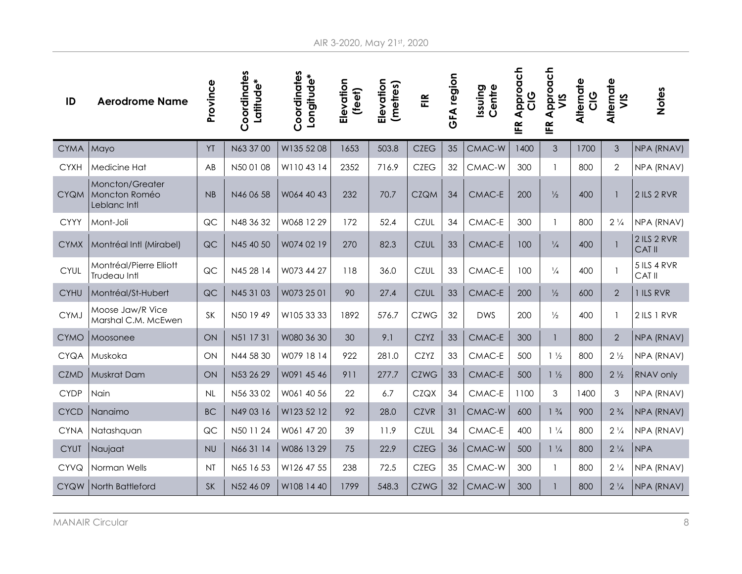| ID          | <b>Aerodrome Name</b>                            | Province  | Coordinates<br>Latitude* | Coordinates<br>Longitude* | Elevation<br>(feet) | Elevation<br>(metres) | E           | GFA region | Centre<br>lssuing | Approach<br>$rac{c}{C}$<br>IFR. | <b>IFR Approach</b><br>VIS | Alternate<br>$rac{G}{C}$ | <b>Alternate</b><br>VIS  | <b>Notes</b>                 |
|-------------|--------------------------------------------------|-----------|--------------------------|---------------------------|---------------------|-----------------------|-------------|------------|-------------------|---------------------------------|----------------------------|--------------------------|--------------------------|------------------------------|
| <b>CYMA</b> | Mayo                                             | YT        | N63 37 00                | W135 52 08                | 1653                | 503.8                 | <b>CZEG</b> | 35         | CMAC-W            | 1400                            | 3                          | 1700                     | $\mathfrak{Z}$           | NPA (RNAV)                   |
| <b>CYXH</b> | Medicine Hat                                     | AB        | N50 01 08                | W110 43 14                | 2352                | 716.9                 | <b>CZEG</b> | 32         | CMAC-W            | 300                             | 1                          | 800                      | $\mathbf{2}$             | NPA (RNAV)                   |
| <b>CYQM</b> | Moncton/Greater<br>Moncton Roméo<br>Leblanc Intl | NB        | N46 06 58                | W064 40 43                | 232                 | 70.7                  | <b>CZQM</b> | 34         | CMAC-E            | 200                             | $\frac{1}{2}$              | 400                      | $\overline{\phantom{a}}$ | 2 ILS 2 RVR                  |
| <b>CYYY</b> | Mont-Joli                                        | QC        | N48 36 32                | W068 12 29                | 172                 | 52.4                  | <b>CZUL</b> | 34         | CMAC-E            | 300                             | $\mathbf{1}$               | 800                      | $2\frac{1}{4}$           | NPA (RNAV)                   |
| <b>CYMX</b> | Montréal Intl (Mirabel)                          | QC        | N45 40 50                | W074 02 19                | 270                 | 82.3                  | <b>CZUL</b> | 33         | CMAC-E            | 100                             | $\frac{1}{4}$              | 400                      | $\mathbf{1}$             | 2 ILS 2 RVR<br><b>CAT II</b> |
| <b>CYUL</b> | Montréal/Pierre Elliott<br>Trudeau Intl          | QC        | N45 28 14                | W073 44 27                | 118                 | 36.0                  | <b>CZUL</b> | 33         | CMAC-E            | 100                             | $\frac{1}{4}$              | 400                      | $\mathbf{1}$             | 5 ILS 4 RVR<br>CAT II        |
| <b>CYHU</b> | Montréal/St-Hubert                               | QC        | N45 31 03                | W073 25 01                | 90                  | 27.4                  | <b>CZUL</b> | 33         | CMAC-E            | 200                             | $\frac{1}{2}$              | 600                      | $\overline{2}$           | 1 ILS RVR                    |
| <b>CYMJ</b> | Moose Jaw/R Vice<br>Marshal C.M. McEwen          | <b>SK</b> | N50 19 49                | W105 33 33                | 1892                | 576.7                 | <b>CZWG</b> | 32         | DWS.              | 200                             | $\frac{1}{2}$              | 400                      | $\mathbf{1}$             | 2 ILS 1 RVR                  |
| <b>CYMO</b> | Moosonee                                         | ON        | N51 17 31                | W080 36 30                | 30                  | 9.1                   | <b>CZYZ</b> | 33         | CMAC-E            | 300                             | $\mathbf{1}$               | 800                      | $\sqrt{2}$               | NPA (RNAV)                   |
| <b>CYQA</b> | Muskoka                                          | ON        | N44 58 30                | W079 18 14                | 922                 | 281.0                 | <b>CZYZ</b> | 33         | CMAC-E            | 500                             | $1\frac{1}{2}$             | 800                      | $2\frac{1}{2}$           | NPA (RNAV)                   |
| <b>CZMD</b> | <b>Muskrat Dam</b>                               | ON        | N53 26 29                | W091 45 46                | 911                 | 277.7                 | <b>CZWG</b> | 33         | CMAC-E            | 500                             | $1\frac{1}{2}$             | 800                      | $2\frac{1}{2}$           | RNAV only                    |
| <b>CYDP</b> | Nain                                             | NL        | N56 33 02                | W061 40 56                | 22                  | 6.7                   | <b>CZQX</b> | 34         | CMAC-E            | 1100                            | 3                          | 1400                     | $\mathfrak{Z}$           | NPA (RNAV)                   |
| <b>CYCD</b> | Nanaimo                                          | <b>BC</b> | N49 03 16                | W123 52 12                | 92                  | 28.0                  | <b>CZVR</b> | 31         | CMAC-W            | 600                             | $1 \frac{3}{4}$            | 900                      | $2 \frac{3}{4}$          | NPA (RNAV)                   |
| <b>CYNA</b> | Natashquan                                       | QC        | N50 11 24                | W061 47 20                | 39                  | 11.9                  | <b>CZUL</b> | 34         | CMAC-E            | 400                             | $1\frac{1}{4}$             | 800                      | $2\frac{1}{4}$           | NPA (RNAV)                   |
| <b>CYUT</b> | Naujaat                                          | <b>NU</b> | N66 31 14                | W086 13 29                | 75                  | 22.9                  | <b>CZEG</b> | 36         | CMAC-W            | 500                             | $1\frac{1}{4}$             | 800                      | $2\frac{1}{4}$           | <b>NPA</b>                   |
| <b>CYVQ</b> | Norman Wells                                     | <b>NT</b> | N65 16 53                | W126 47 55                | 238                 | 72.5                  | <b>CZEG</b> | 35         | CMAC-W            | 300                             | $\mathbf{1}$               | 800                      | $2\frac{1}{4}$           | NPA (RNAV)                   |
| <b>CYQW</b> | North Battleford                                 | <b>SK</b> | N52 46 09                | W108 14 40                | 1799                | 548.3                 | <b>CZWG</b> | 32         | CMAC-W            | 300                             | $\mathbf{1}$               | 800                      | $2\frac{1}{4}$           | NPA (RNAV)                   |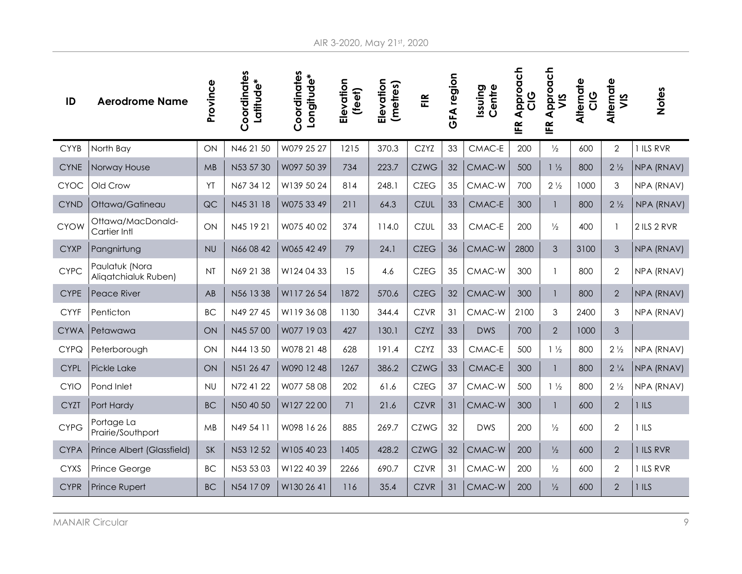| ID          | <b>Aerodrome Name</b>                  | Province  | Coordinates<br>Latitude* | Coordinates<br>Longitude* | Elevation<br>(feet) | Elevation<br>(metres) | E           | GFA region | Centre<br>lssuing | Approach<br><u>ပ</u><br>飞<br>上 | <b>IFR Approach</b><br>VIS | <b>Alternate</b><br>$\frac{6}{5}$ | Alternate<br>VIS | <b>Notes</b> |
|-------------|----------------------------------------|-----------|--------------------------|---------------------------|---------------------|-----------------------|-------------|------------|-------------------|--------------------------------|----------------------------|-----------------------------------|------------------|--------------|
| <b>CYYB</b> | North Bay                              | ON        | N46 21 50                | W079 25 27                | 1215                | 370.3                 | <b>CZYZ</b> | 33         | CMAC-E            | 200                            | $\frac{1}{2}$              | 600                               | $\overline{2}$   | 1 ILS RVR    |
| <b>CYNE</b> | Norway House                           | MB        | N53 57 30                | W097 50 39                | 734                 | 223.7                 | <b>CZWG</b> | 32         | CMAC-W            | 500                            | $1\frac{1}{2}$             | 800                               | $2\frac{1}{2}$   | NPA (RNAV)   |
| CYOC        | Old Crow                               | YT        | N67 34 12                | W139 50 24                | 814                 | 248.1                 | <b>CZEG</b> | 35         | CMAC-W            | 700                            | $2\frac{1}{2}$             | 1000                              | 3                | NPA (RNAV)   |
| <b>CYND</b> | Ottawa/Gatineau                        | QC        | N45 31 18                | W075 33 49                | 211                 | 64.3                  | <b>CZUL</b> | 33         | CMAC-E            | 300                            | $\mathbf{1}$               | 800                               | $2\frac{1}{2}$   | NPA (RNAV)   |
| <b>CYOW</b> | Ottawa/MacDonald-<br>Cartier Intl      | ON        | N45 19 21                | W075 40 02                | 374                 | 114.0                 | <b>CZUL</b> | 33         | CMAC-E            | 200                            | $\frac{1}{2}$              | 400                               | $\mathbf{1}$     | 2 ILS 2 RVR  |
| <b>CYXP</b> | Pangnirtung                            | <b>NU</b> | N66 08 42                | W065 42 49                | 79                  | 24.1                  | <b>CZEG</b> | 36         | CMAC-W            | 2800                           | 3                          | 3100                              | $\mathfrak{S}$   | NPA (RNAV)   |
| <b>CYPC</b> | Paulatuk (Nora<br>Aliqatchialuk Ruben) | <b>NT</b> | N69 21 38                | W124 04 33                | 15                  | 4.6                   | <b>CZEG</b> | 35         | CMAC-W            | 300                            | 1                          | 800                               | $\overline{2}$   | NPA (RNAV)   |
| <b>CYPE</b> | Peace River                            | AB        | N56 1338                 | W117 26 54                | 1872                | 570.6                 | <b>CZEG</b> | 32         | CMAC-W            | 300                            | $\mathbf{1}$               | 800                               | $\mathbf{2}$     | NPA (RNAV)   |
| <b>CYYF</b> | Penticton                              | <b>BC</b> | N49 27 45                | W119 36 08                | 1130                | 344.4                 | <b>CZVR</b> | 31         | CMAC-W            | 2100                           | 3                          | 2400                              | 3                | NPA (RNAV)   |
| <b>CYWA</b> | Petawawa                               | ON        | N45 57 00                | W077 19 03                | 427                 | 130.1                 | <b>CZYZ</b> | 33         | <b>DWS</b>        | 700                            | $\overline{2}$             | 1000                              | $\mathfrak{S}$   |              |
| <b>CYPQ</b> | Peterborough                           | ON        | N44 13 50                | W078 21 48                | 628                 | 191.4                 | CZYZ        | 33         | CMAC-E            | 500                            | $1\frac{1}{2}$             | 800                               | $2\frac{1}{2}$   | NPA (RNAV)   |
| <b>CYPL</b> | <b>Pickle Lake</b>                     | ON        | N51 26 47                | W090 12 48                | 1267                | 386.2                 | <b>CZWG</b> | 33         | CMAC-E            | 300                            | 1                          | 800                               | $2\frac{1}{4}$   | NPA (RNAV)   |
| <b>CYIO</b> | Pond Inlet                             | <b>NU</b> | N72 41 22                | W077 58 08                | 202                 | 61.6                  | <b>CZEG</b> | 37         | CMAC-W            | 500                            | $1\frac{1}{2}$             | 800                               | $2\frac{1}{2}$   | NPA (RNAV)   |
| <b>CYZT</b> | Port Hardy                             | <b>BC</b> | N50 40 50                | W127 22 00                | 71                  | 21.6                  | <b>CZVR</b> | 31         | CMAC-W            | 300                            | $\mathbf{1}$               | 600                               | $\overline{2}$   | 1ILS         |
| <b>CYPG</b> | Portage La<br>Prairie/Southport        | MB        | N49 54 11                | W098 16 26                | 885                 | 269.7                 | <b>CZWG</b> | 32         | <b>DWS</b>        | 200                            | $\frac{1}{2}$              | 600                               | $\mathbf{2}$     | 1ILS         |
| <b>CYPA</b> | Prince Albert (Glassfield)             | SK        | N53 12 52                | W105 40 23                | 1405                | 428.2                 | <b>CZWG</b> | 32         | CMAC-W            | 200                            | $\frac{1}{2}$              | 600                               | $\overline{2}$   | 1 ILS RVR    |
| <b>CYXS</b> | Prince George                          | <b>BC</b> | N53 53 03                | W122 40 39                | 2266                | 690.7                 | <b>CZVR</b> | 31         | CMAC-W            | 200                            | $\frac{1}{2}$              | 600                               | $\overline{2}$   | 1 ILS RVR    |
| <b>CYPR</b> | <b>Prince Rupert</b>                   | <b>BC</b> | N54 1709                 | W130 26 41                | 116                 | 35.4                  | <b>CZVR</b> | 31         | CMAC-W            | 200                            | $\frac{1}{2}$              | 600                               | $\overline{2}$   | $1$ ILS      |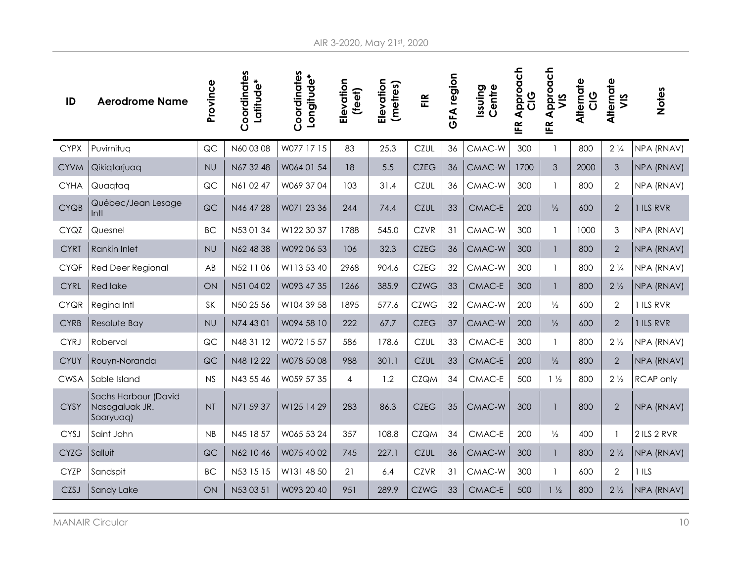| ID          | <b>Aerodrome Name</b>                               | Province  | Coordinates<br>Latitude* | Coordinates<br>Longitude* | Elevation<br>(feet) | Elevation<br>(metres) | $\tilde{\mathbb{E}}$ | GFA region | Centre<br>Issuing | Approach<br>$rac{c}{C}$<br>IFR | Approach<br>VIS<br><u>IFR</u> | Alternate<br>$rac{0}{0}$ | <b>Alternate</b><br>VIS | <b>Notes</b> |
|-------------|-----------------------------------------------------|-----------|--------------------------|---------------------------|---------------------|-----------------------|----------------------|------------|-------------------|--------------------------------|-------------------------------|--------------------------|-------------------------|--------------|
| <b>CYPX</b> | Puvirnitug                                          | QC        | N60 03 08                | W077 17 15                | 83                  | 25.3                  | <b>CZUL</b>          | 36         | CMAC-W            | 300                            | -1                            | 800                      | $2\frac{1}{4}$          | NPA (RNAV)   |
| <b>CYVM</b> | Qikiqtarjuaq                                        | <b>NU</b> | N67 32 48                | W064 01 54                | 18                  | 5.5                   | <b>CZEG</b>          | 36         | CMAC-W            | 1700                           | 3                             | 2000                     | $\mathfrak{Z}$          | NPA (RNAV)   |
| <b>CYHA</b> | Quagtag                                             | QC        | N61 02 47                | W069 37 04                | 103                 | 31.4                  | <b>CZUL</b>          | 36         | CMAC-W            | 300                            | $\mathbf{1}$                  | 800                      | $\overline{2}$          | NPA (RNAV)   |
| <b>CYQB</b> | Québec/Jean Lesage<br>Intl                          | QC        | N46 47 28                | W071 23 36                | 244                 | 74.4                  | <b>CZUL</b>          | 33         | CMAC-E            | 200                            | $\frac{1}{2}$                 | 600                      | $\overline{2}$          | 1 ILS RVR    |
| <b>CYQZ</b> | Quesnel                                             | <b>BC</b> | N53 01 34                | W122 30 37                | 1788                | 545.0                 | <b>CZVR</b>          | 31         | CMAC-W            | 300                            | $\mathbf{1}$                  | 1000                     | 3                       | NPA (RNAV)   |
| <b>CYRT</b> | <b>Rankin Inlet</b>                                 | <b>NU</b> | N62 48 38                | W092 06 53                | 106                 | 32.3                  | <b>CZEG</b>          | 36         | CMAC-W            | 300                            | $\mathbf{1}$                  | 800                      | $\overline{2}$          | NPA (RNAV)   |
| <b>CYQF</b> | Red Deer Regional                                   | AB        | N52 1106                 | W113 53 40                | 2968                | 904.6                 | <b>CZEG</b>          | 32         | CMAC-W            | 300                            | 1                             | 800                      | $2\frac{1}{4}$          | NPA (RNAV)   |
| <b>CYRL</b> | <b>Red lake</b>                                     | ON        | N51 04 02                | W093 47 35                | 1266                | 385.9                 | <b>CZWG</b>          | 33         | CMAC-E            | 300                            | $\mathbf{1}$                  | 800                      | $2\frac{1}{2}$          | NPA (RNAV)   |
| <b>CYQR</b> | Regina Intl                                         | <b>SK</b> | N50 25 56                | W104 39 58                | 1895                | 577.6                 | <b>CZWG</b>          | 32         | CMAC-W            | 200                            | $\frac{1}{2}$                 | 600                      | $\overline{2}$          | 1 ILS RVR    |
| <b>CYRB</b> | Resolute Bay                                        | <b>NU</b> | N74 43 01                | W094 58 10                | 222                 | 67.7                  | <b>CZEG</b>          | 37         | CMAC-W            | 200                            | $\frac{1}{2}$                 | 600                      | $\mathbf{2}$            | 1 ILS RVR    |
| <b>CYRJ</b> | Roberval                                            | QC        | N48 31 12                | W072 15 57                | 586                 | 178.6                 | <b>CZUL</b>          | 33         | CMAC-E            | 300                            | $\mathbf{1}$                  | 800                      | $2\frac{1}{2}$          | NPA (RNAV)   |
| <b>CYUY</b> | Rouyn-Noranda                                       | QC        | N48 12 22                | W078 50 08                | 988                 | 301.1                 | <b>CZUL</b>          | 33         | CMAC-E            | 200                            | $\frac{1}{2}$                 | 800                      | $\overline{2}$          | NPA (RNAV)   |
| <b>CWSA</b> | Sable Island                                        | NS        | N43 55 46                | W059 57 35                | $\overline{4}$      | 1.2                   | <b>CZQM</b>          | 34         | CMAC-E            | 500                            | $1\frac{1}{2}$                | 800                      | $2\frac{1}{2}$          | RCAP only    |
| <b>CYSY</b> | Sachs Harbour (David<br>Nasogaluak JR.<br>Saaryuaq) | <b>NT</b> | N71 59 37                | W125 14 29                | 283                 | 86.3                  | <b>CZEG</b>          | 35         | CMAC-W            | 300                            | $\mathbf{1}$                  | 800                      | $\overline{2}$          | NPA (RNAV)   |
| CYSJ        | Saint John                                          | NB        | N45 18 57                | W065 53 24                | 357                 | 108.8                 | <b>CZQM</b>          | 34         | CMAC-E            | 200                            | $\frac{1}{2}$                 | 400                      | $\mathbf{1}$            | 2 ILS 2 RVR  |
| <b>CYZG</b> | Salluit                                             | QC        | N62 10 46                | W075 40 02                | 745                 | 227.1                 | <b>CZUL</b>          | 36         | CMAC-W            | 300                            | $\mathbf{1}$                  | 800                      | $2\frac{1}{2}$          | NPA (RNAV)   |
| <b>CYZP</b> | Sandspit                                            | <b>BC</b> | N53 15 15                | W131 48 50                | 21                  | 6.4                   | <b>CZVR</b>          | 31         | CMAC-W            | 300                            | -1                            | 600                      | $\overline{2}$          | 1ILS         |
| CZSJ        | <b>Sandy Lake</b>                                   | ON        | N53 03 51                | W093 20 40                | 951                 | 289.9                 | <b>CZWG</b>          | 33         | CMAC-E            | 500                            | $1\frac{1}{2}$                | 800                      | $2\frac{1}{2}$          | NPA (RNAV)   |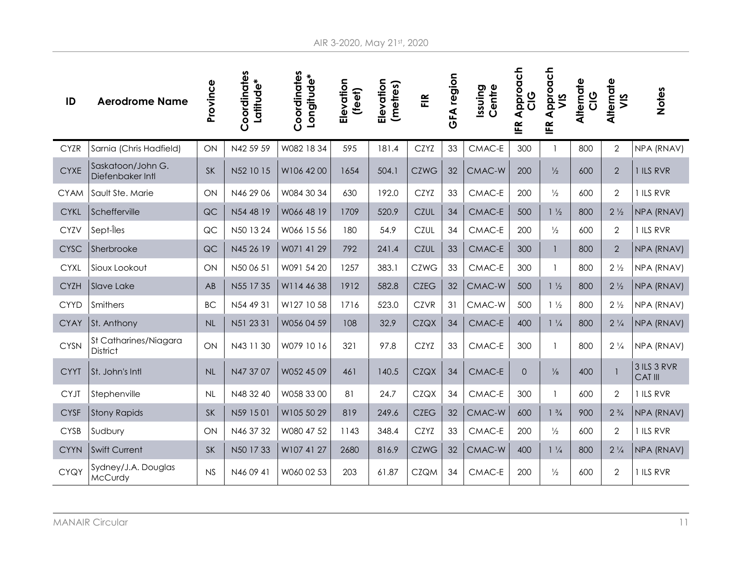| ID          | <b>Aerodrome Name</b>                    | Province  | Coordinates<br>Latitude* | Coordinates<br>Longitude* | Elevation<br>(feet) | Elevation<br>(metres) | E           | GFA region | Centre<br>lssuing | Approach<br><b>UD</b><br>IFR | <b>IFR Approach</b><br>VIS | <b>Alternate</b><br><b>UD</b> | Alternate<br>VIS | <b>Notes</b>                  |
|-------------|------------------------------------------|-----------|--------------------------|---------------------------|---------------------|-----------------------|-------------|------------|-------------------|------------------------------|----------------------------|-------------------------------|------------------|-------------------------------|
| <b>CYZR</b> | Sarnia (Chris Hadfield)                  | ON        | N42 59 59                | W082 18 34                | 595                 | 181.4                 | <b>CZYZ</b> | 33         | CMAC-E            | 300                          |                            | 800                           | $\overline{2}$   | NPA (RNAV)                    |
| <b>CYXE</b> | Saskatoon/John G.<br>Diefenbaker Intl    | <b>SK</b> | N52 10 15                | W106 42 00                | 1654                | 504.1                 | <b>CZWG</b> | 32         | CMAC-W            | 200                          | $\frac{1}{2}$              | 600                           | $\mathbf{2}$     | 1 ILS RVR                     |
| <b>CYAM</b> | Sault Ste. Marie                         | ON        | N46 29 06                | W084 30 34                | 630                 | 192.0                 | <b>CZYZ</b> | 33         | CMAC-E            | 200                          | $\frac{1}{2}$              | 600                           | $\overline{2}$   | 1 ILS RVR                     |
| <b>CYKL</b> | Schefferville                            | QC        | N54 48 19                | W066 48 19                | 1709                | 520.9                 | <b>CZUL</b> | 34         | CMAC-E            | 500                          | $1\frac{1}{2}$             | 800                           | $2\frac{1}{2}$   | NPA (RNAV)                    |
| CYZV        | Sept-Îles                                | QC        | N50 13 24                | W066 15 56                | 180                 | 54.9                  | <b>CZUL</b> | 34         | CMAC-E            | 200                          | $\frac{1}{2}$              | 600                           | $\overline{2}$   | 1 ILS RVR                     |
| CYSC        | Sherbrooke                               | QC        | N45 26 19                | W071 41 29                | 792                 | 241.4                 | <b>CZUL</b> | 33         | CMAC-E            | 300                          | 1                          | 800                           | $\overline{2}$   | NPA (RNAV)                    |
| <b>CYXL</b> | Sioux Lookout                            | ON        | N50 06 51                | W091 54 20                | 1257                | 383.1                 | <b>CZWG</b> | 33         | CMAC-E            | 300                          |                            | 800                           | $2\frac{1}{2}$   | NPA (RNAV)                    |
| <b>CYZH</b> | Slave Lake                               | AB        | N55 17 35                | W114 46 38                | 1912                | 582.8                 | <b>CZEG</b> | 32         | CMAC-W            | 500                          | $1\frac{1}{2}$             | 800                           | $2\frac{1}{2}$   | NPA (RNAV)                    |
| <b>CYYD</b> | Smithers                                 | <b>BC</b> | N54 49 31                | W127 10 58                | 1716                | 523.0                 | <b>CZVR</b> | 31         | CMAC-W            | 500                          | $1\frac{1}{2}$             | 800                           | $2\frac{1}{2}$   | NPA (RNAV)                    |
| <b>CYAY</b> | St. Anthony                              | NL        | N51 23 31                | W056 04 59                | 108                 | 32.9                  | <b>CZQX</b> | 34         | CMAC-E            | 400                          | $1\frac{1}{4}$             | 800                           | $2\frac{1}{4}$   | NPA (RNAV)                    |
| <b>CYSN</b> | St Catharines/Niagara<br><b>District</b> | ON        | N43 11 30                | W079 10 16                | 321                 | 97.8                  | <b>CZYZ</b> | 33         | CMAC-E            | 300                          | 1                          | 800                           | $2\frac{1}{4}$   | NPA (RNAV)                    |
| <b>CYYT</b> | St. John's Intl                          | NL        | N47 37 07                | W052 45 09                | 461                 | 140.5                 | <b>CZQX</b> | 34         | CMAC-E            | $\Omega$                     | $\frac{1}{8}$              | 400                           | $\mathbf{1}$     | 3 ILS 3 RVR<br><b>CAT III</b> |
| <b>CYJT</b> | Stephenville                             | NL        | N48 32 40                | W058 33 00                | 81                  | 24.7                  | <b>CZQX</b> | 34         | CMAC-E            | 300                          | -1                         | 600                           | $\overline{2}$   | 1 ILS RVR                     |
| <b>CYSF</b> | <b>Stony Rapids</b>                      | <b>SK</b> | N59 1501                 | W105 50 29                | 819                 | 249.6                 | <b>CZEG</b> | 32         | CMAC-W            | 600                          | $1 \frac{3}{4}$            | 900                           | $2 \frac{3}{4}$  | NPA (RNAV)                    |
| <b>CYSB</b> | Sudbury                                  | ON        | N46 37 32                | W080 47 52                | 1143                | 348.4                 | CZYZ        | 33         | CMAC-E            | 200                          | $\frac{1}{2}$              | 600                           | $\overline{2}$   | 1 ILS RVR                     |
| <b>CYYN</b> | <b>Swift Current</b>                     | <b>SK</b> | N50 1733                 | W107 41 27                | 2680                | 816.9                 | <b>CZWG</b> | 32         | CMAC-W            | 400                          | $1\frac{1}{4}$             | 800                           | $2\frac{1}{4}$   | NPA (RNAV)                    |
| <b>CYQY</b> | Sydney/J.A. Douglas<br>McCurdy           | <b>NS</b> | N46 09 41                | W060 02 53                | 203                 | 61.87                 | <b>CZQM</b> | 34         | CMAC-E            | 200                          | $\frac{1}{2}$              | 600                           | $\overline{2}$   | 1 ILS RVR                     |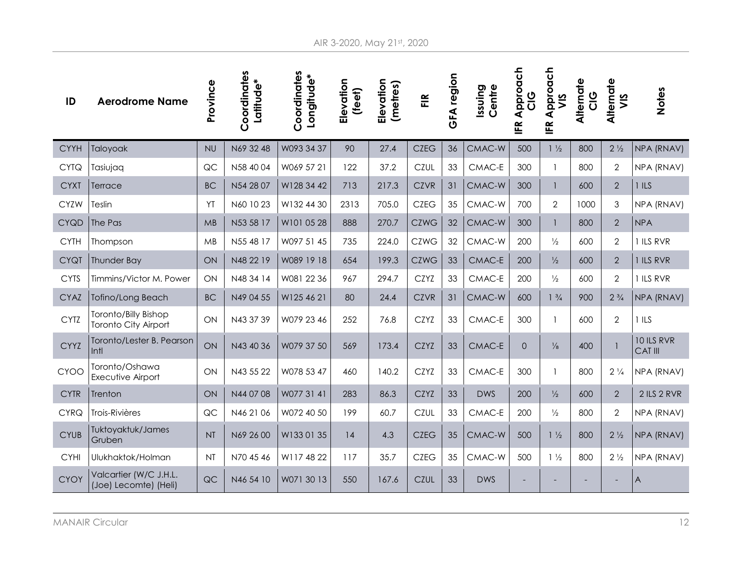| ID          | <b>Aerodrome Name</b>                           | Province  | Coordinates<br>Latitude* | Coordinates<br>Longitude* | Elevation<br>(feet) | Elevation<br>(metres) | E           | GFA region | Centre<br>lssuing | Approach<br>$rac{c}{C}$<br>E | Approach<br>VIS<br>$\tilde{\mathbb{E}}$ | <b>Alternate</b><br>$rac{0}{0}$ | Alternate<br>VIS         | <b>Notes</b>                 |
|-------------|-------------------------------------------------|-----------|--------------------------|---------------------------|---------------------|-----------------------|-------------|------------|-------------------|------------------------------|-----------------------------------------|---------------------------------|--------------------------|------------------------------|
| <b>CYYH</b> | Taloyoak                                        | <b>NU</b> | N69 32 48                | W093 34 37                | 90                  | 27.4                  | <b>CZEG</b> | 36         | CMAC-W            | 500                          | $1\frac{1}{2}$                          | 800                             | $2\frac{1}{2}$           | NPA (RNAV)                   |
| <b>CYTQ</b> | Tasiujaq                                        | QC        | N58 40 04                | W069 57 21                | 122                 | 37.2                  | <b>CZUL</b> | 33         | CMAC-E            | 300                          | 1                                       | 800                             | 2                        | NPA (RNAV)                   |
| <b>CYXT</b> | Terrace                                         | <b>BC</b> | N54 28 07                | W128 34 42                | 713                 | 217.3                 | <b>CZVR</b> | 31         | CMAC-W            | 300                          | $\mathbf{1}$                            | 600                             | 2                        | 1ILS                         |
| <b>CYZW</b> | Teslin                                          | YT        | N60 10 23                | W132 44 30                | 2313                | 705.0                 | <b>CZEG</b> | 35         | CMAC-W            | 700                          | $\overline{2}$                          | 1000                            | $\mathfrak{Z}$           | NPA (RNAV)                   |
| <b>CYQD</b> | The Pas                                         | MB        | N53 58 17                | W101 05 28                | 888                 | 270.7                 | <b>CZWG</b> | 32         | CMAC-W            | 300                          | $\mathbf{1}$                            | 800                             | $\overline{2}$           | <b>NPA</b>                   |
| <b>CYTH</b> | Thompson                                        | <b>MB</b> | N55 48 17                | W097 51 45                | 735                 | 224.0                 | <b>CZWG</b> | 32         | CMAC-W            | 200                          | $\frac{1}{2}$                           | 600                             | $\overline{2}$           | 1 ILS RVR                    |
| <b>CYQT</b> | <b>Thunder Bay</b>                              | ON        | N48 22 19                | W089 19 18                | 654                 | 199.3                 | <b>CZWG</b> | 33         | CMAC-E            | 200                          | $\frac{1}{2}$                           | 600                             | $\overline{2}$           | 1 ILS RVR                    |
| <b>CYTS</b> | Timmins/Victor M. Power                         | ON        | N48 34 14                | W081 22 36                | 967                 | 294.7                 | CZYZ        | 33         | CMAC-E            | 200                          | $\frac{1}{2}$                           | 600                             | $\overline{2}$           | 1 ILS RVR                    |
| <b>CYAZ</b> | <b>Tofino/Long Beach</b>                        | <b>BC</b> | N49 04 55                | W125 46 21                | 80                  | 24.4                  | <b>CZVR</b> | 31         | CMAC-W            | 600                          | $1 \frac{3}{4}$                         | 900                             | $2 \frac{3}{4}$          | NPA (RNAV)                   |
| <b>CYTZ</b> | Toronto/Billy Bishop<br>Toronto City Airport    | ON        | N43 37 39                | W079 23 46                | 252                 | 76.8                  | <b>CZYZ</b> | 33         | CMAC-E            | 300                          | 1                                       | 600                             | $\overline{2}$           | $1$ ILS                      |
| <b>CYYZ</b> | Toronto/Lester B. Pearson<br>Intl               | ON        | N43 40 36                | W079 37 50                | 569                 | 173.4                 | <b>CZYZ</b> | 33         | CMAC-E            | $\Omega$                     | $\frac{1}{8}$                           | 400                             | $\overline{1}$           | 10 ILS RVR<br><b>CAT III</b> |
| CYOO        | Toronto/Oshawa<br>Executive Airport             | ON        | N43 55 22                | W078 53 47                | 460                 | 140.2                 | <b>CZYZ</b> | 33         | CMAC-E            | 300                          | 1                                       | 800                             | $2\frac{1}{4}$           | NPA (RNAV)                   |
| <b>CYTR</b> | Trenton                                         | ON        | N44 07 08                | W077 31 41                | 283                 | 86.3                  | <b>CZYZ</b> | 33         | <b>DWS</b>        | 200                          | $\frac{1}{2}$                           | 600                             | $\overline{2}$           | 2 ILS 2 RVR                  |
| <b>CYRQ</b> | Trois-Rivières                                  | QC        | N46 21 06                | W072 40 50                | 199                 | 60.7                  | <b>CZUL</b> | 33         | CMAC-E            | 200                          | $\frac{1}{2}$                           | 800                             | $\overline{2}$           | NPA (RNAV)                   |
| <b>CYUB</b> | Tuktoyaktuk/James<br>Gruben                     | <b>NT</b> | N69 26 00                | W1330135                  | 14                  | 4.3                   | <b>CZEG</b> | 35         | CMAC-W            | 500                          | $1\frac{1}{2}$                          | 800                             | $2\frac{1}{2}$           | NPA (RNAV)                   |
| <b>CYHI</b> | Ulukhaktok/Holman                               | <b>NT</b> | N70 45 46                | W117 48 22                | 117                 | 35.7                  | <b>CZEG</b> | 35         | CMAC-W            | 500                          | $1\frac{1}{2}$                          | 800                             | $2\frac{1}{2}$           | NPA (RNAV)                   |
| <b>CYOY</b> | Valcartier (W/C J.H.L.<br>(Joe) Lecomte) (Heli) | QC        | N46 54 10                | W071 30 13                | 550                 | 167.6                 | <b>CZUL</b> | 33         | <b>DWS</b>        |                              |                                         |                                 | $\overline{\phantom{a}}$ | $\overline{A}$               |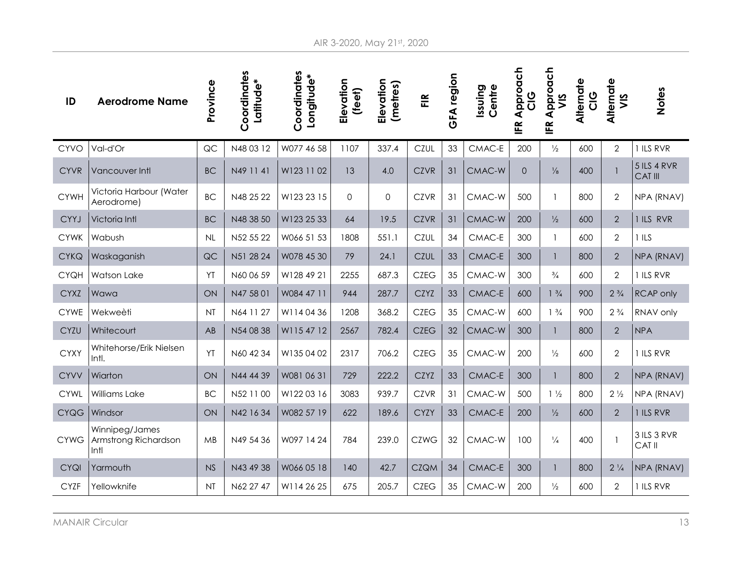| ID          | <b>Aerodrome Name</b>                          | Province  | Coordinates<br>Latitude* | Coordinates<br>Longitude* | Elevation<br>(feet) | Elevation<br>(metres) | E           | GFA region | lssuing<br>Centre | <b>FR Approach</b><br><u>ပ</u> | <b>IFR Approach</b><br>VIS | <b>Alternate</b><br><u>ပ</u> | <b>Alternate</b><br>SIN | Notes                         |
|-------------|------------------------------------------------|-----------|--------------------------|---------------------------|---------------------|-----------------------|-------------|------------|-------------------|--------------------------------|----------------------------|------------------------------|-------------------------|-------------------------------|
| <b>CYVO</b> | Val-d'Or                                       | QC        | N48 03 12                | W077 46 58                | 1107                | 337.4                 | <b>CZUL</b> | 33         | CMAC-E            | 200                            | $\frac{1}{2}$              | 600                          | $\overline{2}$          | 1 ILS RVR                     |
| <b>CYVR</b> | Vancouver Intl                                 | <b>BC</b> | N49 11 41                | W123 11 02                | 13                  | 4.0                   | <b>CZVR</b> | 31         | CMAC-W            | $\overline{0}$                 | $\frac{1}{8}$              | 400                          | $\mathbf{1}$            | 5 ILS 4 RVR<br><b>CAT III</b> |
| <b>CYWH</b> | Victoria Harbour (Water<br>Aerodrome)          | <b>BC</b> | N48 25 22                | W123 23 15                | $\Omega$            | $\mathsf{O}$          | <b>CZVR</b> | 31         | CMAC-W            | 500                            | 1                          | 800                          | $\overline{2}$          | NPA (RNAV)                    |
| <b>CYYJ</b> | Victoria Intl                                  | <b>BC</b> | N48 38 50                | W123 25 33                | 64                  | 19.5                  | <b>CZVR</b> | 31         | CMAC-W            | 200                            | $\frac{1}{2}$              | 600                          | $\mathbf{2}$            | I ILS RVR                     |
| <b>CYWK</b> | Wabush                                         | NL        | N52 55 22                | W066 51 53                | 1808                | 551.1                 | <b>CZUL</b> | 34         | CMAC-E            | 300                            |                            | 600                          | $\overline{2}$          | 1ILS                          |
| <b>CYKQ</b> | Waskaganish                                    | QC        | N51 28 24                | W078 45 30                | 79                  | 24.1                  | <b>CZUL</b> | 33         | CMAC-E            | 300                            | $\mathbf{1}$               | 800                          | $\overline{2}$          | NPA (RNAV)                    |
| <b>CYQH</b> | <b>Watson Lake</b>                             | YT        | N60 06 59                | W128 49 21                | 2255                | 687.3                 | <b>CZEG</b> | 35         | CMAC-W            | 300                            | $\frac{3}{4}$              | 600                          | $\overline{2}$          | 1 ILS RVR                     |
| <b>CYXZ</b> | Wawa                                           | ON        | N47 58 01                | W084 47 11                | 944                 | 287.7                 | <b>CZYZ</b> | 33         | CMAC-E            | 600                            | $1 \frac{3}{4}$            | 900                          | $2 \frac{3}{4}$         | <b>RCAP only</b>              |
| <b>CYWE</b> | Wekweèti                                       | NT        | N64 11 27                | W1140436                  | 1208                | 368.2                 | <b>CZEG</b> | 35         | CMAC-W            | 600                            | $1 \frac{3}{4}$            | 900                          | $2\frac{3}{4}$          | RNAV only                     |
| <b>CYZU</b> | Whitecourt                                     | AB        | N54 08 38                | W115 47 12                | 2567                | 782.4                 | <b>CZEG</b> | 32         | CMAC-W            | 300                            | 1                          | 800                          | $\overline{2}$          | <b>NPA</b>                    |
| <b>CYXY</b> | Whitehorse/Erik Nielsen<br>Intl.               | YT        | N60 42 34                | W135 04 02                | 2317                | 706.2                 | <b>CZEG</b> | 35         | CMAC-W            | 200                            | $\frac{1}{2}$              | 600                          | $\overline{2}$          | 1 ILS RVR                     |
| <b>CYVV</b> | Wiarton                                        | ON        | N44 44 39                | W081 06 31                | 729                 | 222.2                 | <b>CZYZ</b> | 33         | CMAC-E            | 300                            |                            | 800                          | $\mathbf{2}$            | NPA (RNAV)                    |
| <b>CYWL</b> | Williams Lake                                  | BC        | N52 1100                 | W1220316                  | 3083                | 939.7                 | <b>CZVR</b> | 31         | CMAC-W            | 500                            | $1\frac{1}{2}$             | 800                          | $2\frac{1}{2}$          | NPA (RNAV)                    |
| <b>CYQG</b> | Windsor                                        | ON        | N42 16 34                | W082 57 19                | 622                 | 189.6                 | <b>CYZY</b> | 33         | CMAC-E            | 200                            | $\frac{1}{2}$              | 600                          | $\overline{2}$          | 1 ILS RVR                     |
| <b>CYWG</b> | Winnipeg/James<br>Armstrong Richardson<br>Intl | MB        | N49 54 36                | W097 14 24                | 784                 | 239.0                 | <b>CZWG</b> | 32         | CMAC-W            | 100                            | $\frac{1}{4}$              | 400                          | $\mathbf{1}$            | 3 ILS 3 RVR<br>CAT II         |
| <b>CYQI</b> | Yarmouth                                       | <b>NS</b> | N43 49 38                | W066 05 18                | 140                 | 42.7                  | <b>CZQM</b> | 34         | CMAC-E            | 300                            | $\mathbf{1}$               | 800                          | $2\frac{1}{4}$          | NPA (RNAV)                    |
| <b>CYZF</b> | Yellowknife                                    | NT        | N62 27 47                | W114 26 25                | 675                 | 205.7                 | <b>CZEG</b> | 35         | CMAC-W            | 200                            | $\frac{1}{2}$              | 600                          | $\overline{2}$          | 1 ILS RVR                     |